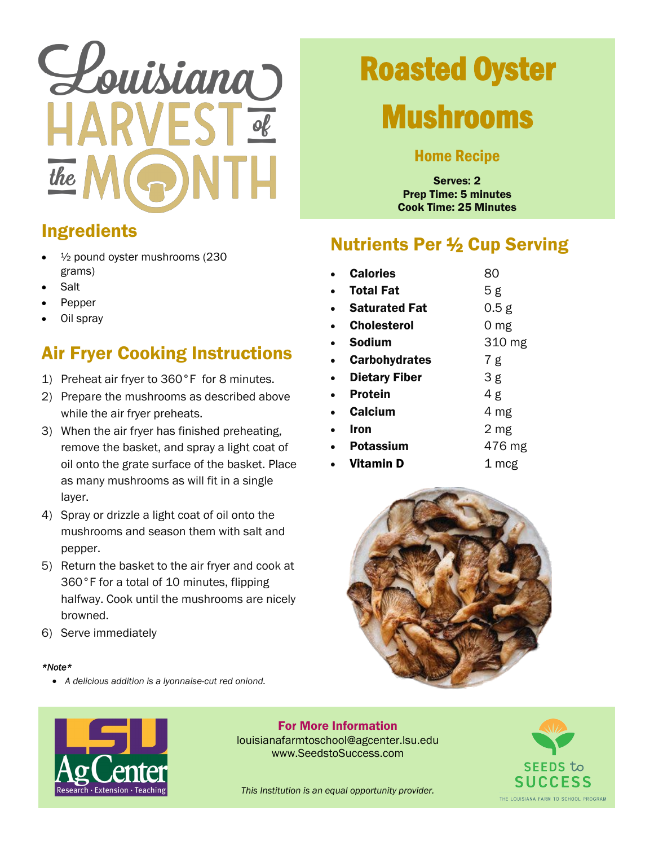# Louisiana HARV the

# Roasted Oyster

## Mushrooms

#### Home Recipe

Serves: 2 Prep Time: 5 minutes Cook Time: 25 Minutes

### Ingredients

- ½ pound oyster mushrooms (230 grams)
- **Salt**
- Pepper
- Oil spray

### Air Fryer Cooking Instructions

- 1) Preheat air fryer to 360°F for 8 minutes.
- 2) Prepare the mushrooms as described above while the air fryer preheats.
- 3) When the air fryer has finished preheating, remove the basket, and spray a light coat of oil onto the grate surface of the basket. Place as many mushrooms as will fit in a single layer.
- 4) Spray or drizzle a light coat of oil onto the mushrooms and season them with salt and pepper.
- 5) Return the basket to the air fryer and cook at 360°F for a total of 10 minutes, flipping halfway. Cook until the mushrooms are nicely browned.
- 6) Serve immediately

#### *\*Note\**

v *A delicious addition is a lyonnaise-cut red oniond.*

### Nutrients Per 1⁄2 Cup Serving

| <b>Calories</b>      | 80     |
|----------------------|--------|
| <b>Total Fat</b>     | 5 g    |
| <b>Saturated Fat</b> | 0.5 g  |
| <b>Cholesterol</b>   | 0 mg   |
| Sodium               | 310 mg |
| <b>Carbohydrates</b> | 7g     |
| <b>Dietary Fiber</b> | 3g     |
| <b>Protein</b>       | 4g     |
| <b>Calcium</b>       | 4 mg   |
| Iron                 | 2 mg   |
| Potassium            | 476 mg |
| Vitamin D            | 1 mcg  |





**For More Information** louisianafarmtoschool#agcenter.lsu.edu www.SeedstoSuccess.com



*This Institution is an equal opportunity provider.*